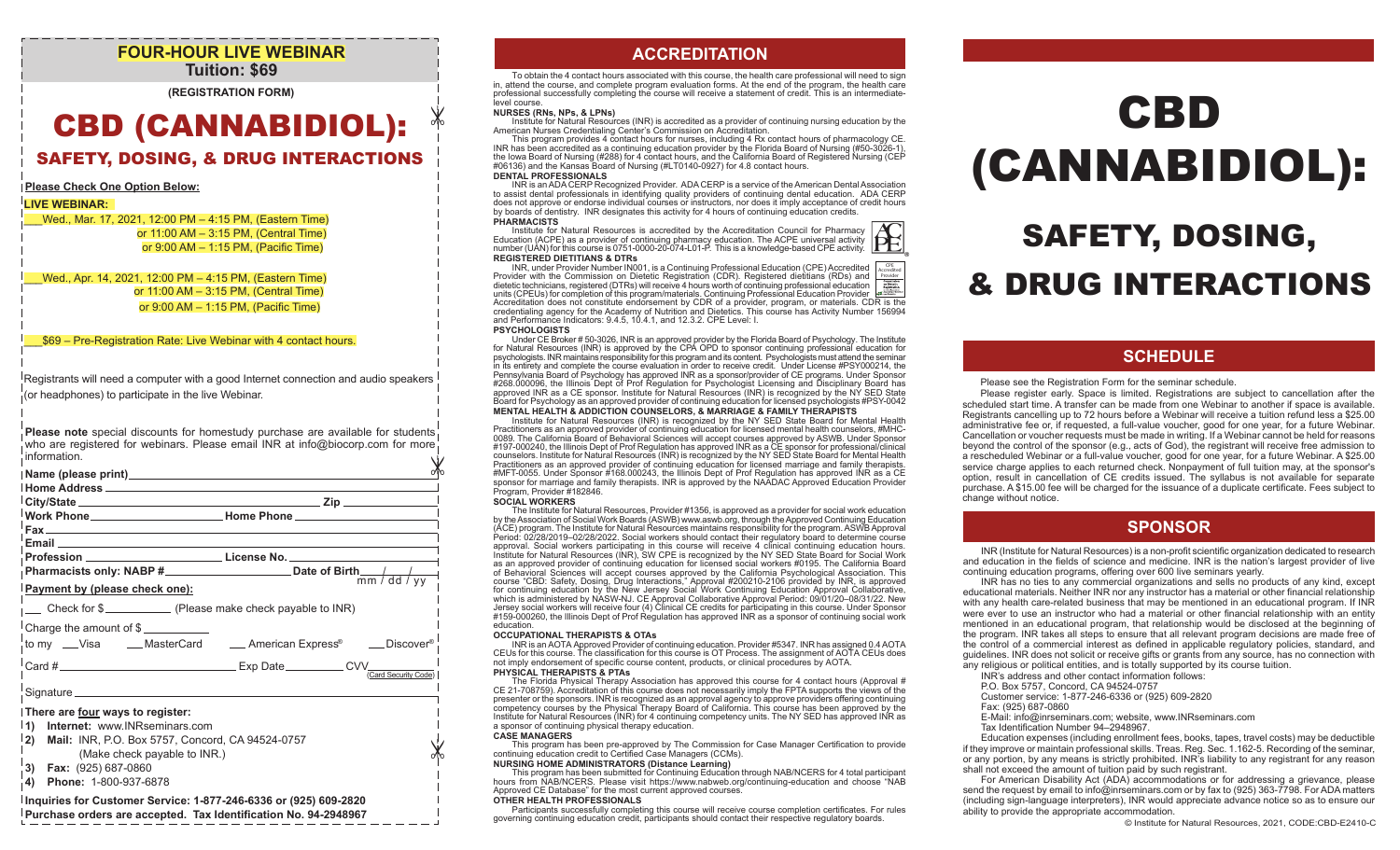## **FOUR-HOUR LIVE WEBINAR Tuition: \$69**

**(REGISTRATION FORM)**

# CBD (CANNABIDIOL):

## SAFETY, DOSING, & DRUG INTERACTIONS

#### **Please Check One Option Below:**

#### **LIVE WEBINAR:**

\_\_\_Wed., Mar. 17, 2021, 12:00 PM – 4:15 PM, (Eastern Time) or 11:00 AM – 3:15 PM, (Central Time) or 9:00 AM – 1:15 PM, (Pacific Time)

\_\_\_Wed., Apr. 14, 2021, 12:00 PM – 4:15 PM, (Eastern Time) or 11:00 AM – 3:15 PM, (Central Time) or 9:00 AM – 1:15 PM, (Pacific Time)

#### \_\_\_\$69 – Pre-Registration Rate: Live Webinar with 4 contact hours.

Registrants will need a computer with a good Internet connection and audio speakers (or headphones) to participate in the live Webinar.

**Please note** special discounts for homestudy purchase are available for students who are registered for webinars. Please email INR at info@biocorp.com for more information.

| information.                                                                                                                                                                                                                                                                                                             |
|--------------------------------------------------------------------------------------------------------------------------------------------------------------------------------------------------------------------------------------------------------------------------------------------------------------------------|
| Name (please print) Name (please print)                                                                                                                                                                                                                                                                                  |
| 「City/State_________________________ Zip _________<br><sup> </sup> Work Phone_____________________________Home Phone __________________________                                                                                                                                                                          |
| Email <b>Executive Contract Contract Contract Contract Contract Contract Contract Contract Contract Contract Contract Contract Contract Contract Contract Contract Contract Contract Contract Contract Contract Contract Contrac</b><br>Profession ______________________________License No. ___________________________ |
| <b>Payment by (please check one):</b>                                                                                                                                                                                                                                                                                    |
|                                                                                                                                                                                                                                                                                                                          |
| Charge the amount of $\frac{1}{2}$<br>to my __Visa ____MasterCard _____ American Express® ____Discover®                                                                                                                                                                                                                  |
| Card #                                                                                                                                                                                                                                                                                                                   |
|                                                                                                                                                                                                                                                                                                                          |
| There are four ways to register:<br>Internet: www.INRseminars.com<br>$\vert$ 1)<br> 2)<br>Mail: INR, P.O. Box 5757, Concord, CA 94524-0757<br>(Make check payable to INR.)<br>$\vert$ 3) Fax: (925) 687-0860                                                                                                             |
| <b>PL 4.000.007.0070</b>                                                                                                                                                                                                                                                                                                 |

**4) Phone:** 1-800-937-6878

#### **Inquiries for Customer Service: 1-877-246-6336 or (925) 609-2820**

**Purchase orders are accepted. Tax Identification No. 94-2948967**

## **ACCREDITATION**

To obtain the 4 contact hours associated with this course, the health care professional will need to sign in, attend the course, and complete program evaluation forms. At the end of the program, the health care professional successfully completing the course will receive a statement of credit. This is an intermediatelevel course.

#### **NURSES (RNs, NPs, & LPNs)**

Institute for Natural Resources (INR) is accredited as a provider of continuing nursing education by the American Nurses Credentialing Center's Commission on Accreditation.

This program provides 4 contact hours for nurses, including 4 Rx contact hours of pharmacology CE. INR has been accredited as a continuing education provider by the Florida Board of Nursing (#50-3026-1), the Iowa Board of Nursing (#288) for 4 contact hours, and the California Board of Registered Nursing (CEP<br>#06136) and the Kansas Board of Nursing (#LT0140-0927) for 4.8 contact hours.

#### **DENTAL PROFESSIONALS**

INR is an ADA CERP Recognized Provider. ADA CERP is a service of the American Dental Association to assist dental professionals in identifying quality providers of continuing dental education. ADA CERP does not approve or endorse individual courses or instructors, nor does it imply acceptance of credit hours by boards of dentistry. INR designates this activity for 4 hours of continuing education credits. **PHARMACISTS**

## Institute for Natural Resources is accredited by the Accreditation Council for Pharmacy<br>Education (ACPE) as a provider of continuing pharmacy education. The ACPE universal activity<br>number (UAN) for this course is 0751-0000 **REGISTERED DIETITIANS & DTRs**

INR, under Provider Number IN001, is a Continuing Professional Education (CPE) Accredited Provider with the Commission on Dietetic Registration (CDR). Registered dietitians (RDs) and dietetic technicians, registered (DTRs) will receive 4 hours worth of continuing professional education units (CPEUs) for completion of this program/materials. Continuing Professional Education Provider Accreditation does not constitute endorsement by CDR of a provider, program, or materials. CDR is the credentialing agency for the Academy of Nutrition and Dietetics. This course has Activity Number 156994 and Performance Indicators: 9.4.5, 10.4.1, and 12.3.2. CPE Level: I. CPE Accredited Provider

#### **PSYCHOLOGISTS**

Under CE Broker # 50-3026, INR is an approved provider by the Florida Board of Psychology. The Institute for Natural Resources (INR) is approved by the CPA OPD to sponsor continuing professional education for psychologists. INR maintains responsibility for this program and its content. Psychologists must attend the seminar in its entirety and complete the course evaluation in order to receive credit. Under License #PSY000214, the<br>Pennsylvania Board of Psychology has approved INR as a sponsor/provider of CE programs. Under Sponsor #268.000096, the Illinois Dept of Prof Regulation for Psychologist Licensing and Disciplinary Board has approved INR as a CE sponsor. Institute for Natural Resources (INR) is recognized by the NY SED State Board for Psychology as an approved provider of continuing education for licensed psychologists #PSY-0042 **MENTAL HEALTH & ADDICTION COUNSELORS, & MARRIAGE & FAMILY THERAPISTS**

Institute for Natural Resources (INR) is recognized by the NY SED State Board for Mental Health Practitioners as an approved provider of continuing education for licensed mental health counselors, #MHC-0089. The California Board of Behavioral Sciences will accept courses approved by ASWB. Under Sponsor #197-000240, the Illinois Dept of Prof Regulation has approved INR as a CE sponsor for professional/clinical counselors. Institute for Natural Resources (INR) is recognized by the NY SED State Board for Mental Health Practitioners as an approved provider of continuing education for licensed marriage and family therapists. #MFT-0055. Under Sponsor #168.000243, the Illinois Dept of Prof Regulation has approved INR as a CE sponsor for marriage and family therapists. INR is approved by the NAADAC Approved Education Provider Program, Provider #182846.

#### **SOCIAL WORKERS**

The Institute for Natural Resources, Provider #1356, is approved as a provider for social work education by the Association of Social Work Boards (ASWB) www.aswb.org, through the Approved Continuing Education (ACE) program. The Institute for Natural Resources maintains responsibility for the program. ASWB Approval Period: 02/28/2019–02/28/2022. Social workers should contact their regulatory board to determine course approval. Social workers participating in this course will receive 4 clinical continuing education hours. Institute for Natural Resources (INR), SW CPE is recognized by the NY SED State Board for Social Work as an approved provider of continuing education for licensed social workers #0195. The California Board of Behavioral Sciences will accept courses approved by the California Psychological Association. This course "CBD: Safety, Dosing, Drug Interactions," Approval #200210-2106 provided by INR, is approved for continuing education by the New Jersey Social Work Continuing Education Approval Collaborative, which is administered by NASW-NJ. CE Approval Collaborative Approval Period: 09/01/20–08/31/22. New Jersey social workers will receive four (4) Clinical CE credits for participating in this course. Under Sponsor #159-000260, the Illinois Dept of Prof Regulation has approved INR as a sponsor of continuing social work education.

#### **OCCUPATIONAL THERAPISTS & OTAs**

INR is an AOTA Approved Provider of continuing education. Provider #5347. INR has assigned 0.4AOTA CEUs for this course. The classification for this course is OT Process. The assignment of AOTA CEUs does not imply endorsement of specific course content, products, or clinical procedures by AOTA.

#### **PHYSICAL THERAPISTS & PTAs**

The Florida Physical Therapy Association has approved this course for 4 contact hours (Approval # CE 21-708759). Accreditation of this course does not necessarily imply the FPTA supports the views of the presenter or the sponsors. INR is recognized as an approval agency to approve providers offering continuing competency courses by the Physical Therapy Board of California. This course has been approved by the Institute for Natural Resources (INR) for 4 continuing competency units. The NY SED has approved INR as a sponsor of continuing physical therapy education.

#### **CASE MANAGERS**

This program has been pre-approved by The Commission for Case Manager Certification to provide continuing education credit to Certified Case Managers (CCMs).

#### **NURSING HOME ADMINISTRATORS (Distance Learning)**

This program has been submitted for Continuing Education through NAB/NCERS for 4 total participant hours from NAB/NCERS. Please visit https://www.nabweb.org/continuing-education and choose "NAB Approved CE Database" for the most current approved courses.

#### **OTHER HEALTH PROFESSIONALS**

Participants successfully completing this course will receive course completion certificates. For rules governing continuing education credit, participants should contact their respective regulatory boards.

# CBD (CANNABIDIOL):

# SAFETY, DOSING, & DRUG INTERACTIONS

## **SCHEDULE**

#### Please see the Registration Form for the seminar schedule.

 Please register early. Space is limited. Registrations are subject to cancellation after the scheduled start time. A transfer can be made from one Webinar to another if space is available. Registrants cancelling up to 72 hours before a Webinar will receive a tuition refund less a \$25.00 administrative fee or, if requested, a full-value voucher, good for one year, for a future Webinar. Cancellation or voucher requests must be made in writing. If a Webinar cannot be held for reasons beyond the control of the sponsor (e.g., acts of God), the registrant will receive free admission to a rescheduled Webinar or a full-value voucher, good for one year, for a future Webinar. A \$25.00 service charge applies to each returned check. Nonpayment of full tuition may, at the sponsor's option, result in cancellation of CE credits issued. The syllabus is not available for separate purchase. A \$15.00 fee will be charged for the issuance of a duplicate certificate. Fees subject to change without notice.

## **SPONSOR**

INR (Institute for Natural Resources) is a non-profit scientific organization dedicated to research and education in the fields of science and medicine. INR is the nation's largest provider of live continuing education programs, offering over 600 live seminars yearly.

 INR has no ties to any commercial organizations and sells no products of any kind, except educational materials. Neither INR nor any instructor has a material or other financial relationship with any health care-related business that may be mentioned in an educational program. If INR were ever to use an instructor who had a material or other financial relationship with an entity mentioned in an educational program, that relationship would be disclosed at the beginning of the program. INR takes all steps to ensure that all relevant program decisions are made free of the control of a commercial interest as defined in applicable regulatory policies, standard, and guidelines. INR does not solicit or receive gifts or grants from any source, has no connection with any religious or political entities, and is totally supported by its course tuition.

- INR's address and other contact information follows:
- P.O. Box 5757, Concord, CA 94524-0757
- Customer service: 1-877-246-6336 or (925) 609-2820
- Fax: (925) 687-0860
- E-Mail: info@inrseminars.com; website, www.INRseminars.com
- Tax Identification Number 94–2948967.

 Education expenses (including enrollment fees, books, tapes, travel costs) may be deductible if they improve or maintain professional skills. Treas. Reg. Sec. 1.162-5. Recording of the seminar, or any portion, by any means is strictly prohibited. INR's liability to any registrant for any reason shall not exceed the amount of tuition paid by such registrant.

 For American Disability Act (ADA) accommodations or for addressing a grievance, please send the request by email to info@inrseminars.com or by fax to (925) 363-7798. For ADA matters (including sign-language interpreters), INR would appreciate advance notice so as to ensure our ability to provide the appropriate accommodation.